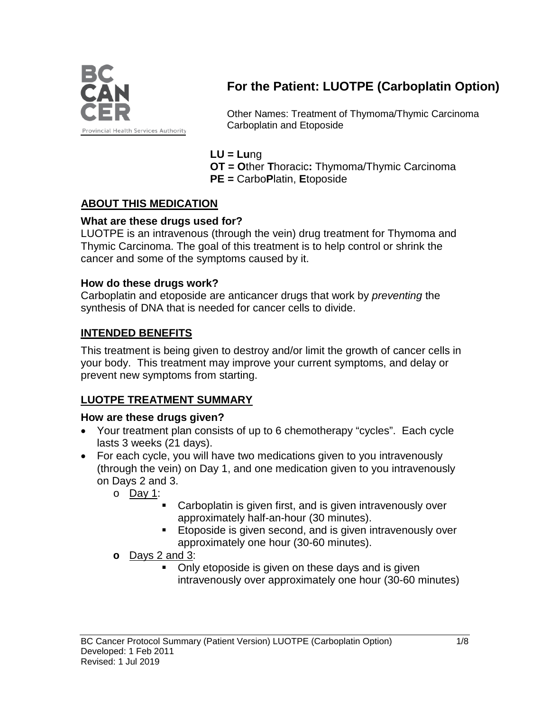

# **For the Patient: LUOTPE (Carboplatin Option)**

Other Names: Treatment of Thymoma/Thymic Carcinoma Carboplatin and Etoposide

### **LU = Lu**ng

**OT = O**ther **T**horacic**:** Thymoma/Thymic Carcinoma **PE =** Carbo**P**latin, **E**toposide

# **ABOUT THIS MEDICATION**

### **What are these drugs used for?**

LUOTPE is an intravenous (through the vein) drug treatment for Thymoma and Thymic Carcinoma. The goal of this treatment is to help control or shrink the cancer and some of the symptoms caused by it.

#### **How do these drugs work?**

Carboplatin and etoposide are anticancer drugs that work by *preventing* the synthesis of DNA that is needed for cancer cells to divide.

# **INTENDED BENEFITS**

This treatment is being given to destroy and/or limit the growth of cancer cells in your body. This treatment may improve your current symptoms, and delay or prevent new symptoms from starting.

# **LUOTPE TREATMENT SUMMARY**

#### **How are these drugs given?**

- Your treatment plan consists of up to 6 chemotherapy "cycles". Each cycle lasts 3 weeks (21 days).
- For each cycle, you will have two medications given to you intravenously (through the vein) on Day 1, and one medication given to you intravenously on Days 2 and 3.
	- o Day 1:
		- Carboplatin is given first, and is given intravenously over approximately half-an-hour (30 minutes).
		- **Etoposide is given second, and is given intravenously over** approximately one hour (30-60 minutes).
	- **o** Days 2 and 3:
		- Only etoposide is given on these days and is given intravenously over approximately one hour (30-60 minutes)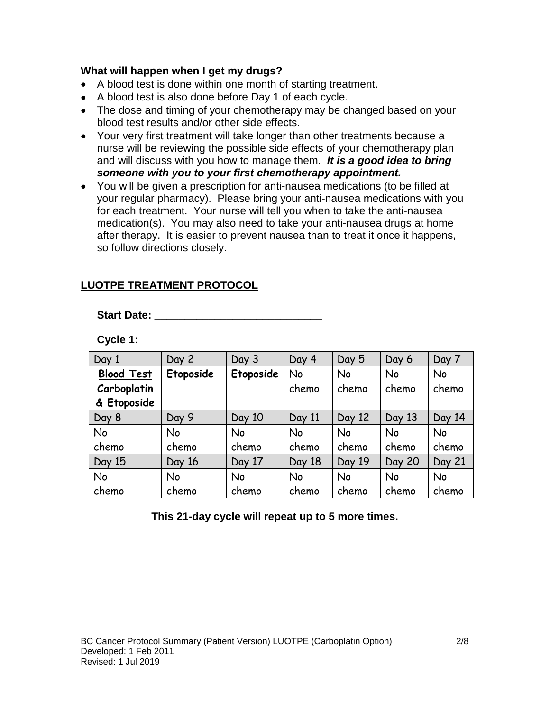#### **What will happen when I get my drugs?**

- A blood test is done within one month of starting treatment.
- A blood test is also done before Day 1 of each cycle.
- The dose and timing of your chemotherapy may be changed based on your blood test results and/or other side effects.
- Your very first treatment will take longer than other treatments because a nurse will be reviewing the possible side effects of your chemotherapy plan and will discuss with you how to manage them. *It is a good idea to bring someone with you to your first chemotherapy appointment.*
- You will be given a prescription for anti-nausea medications (to be filled at your regular pharmacy). Please bring your anti-nausea medications with you for each treatment. Your nurse will tell you when to take the anti-nausea medication(s). You may also need to take your anti-nausea drugs at home after therapy. It is easier to prevent nausea than to treat it once it happens, so follow directions closely.

# **LUOTPE TREATMENT PROTOCOL**

**Start Date: \_\_\_\_\_\_\_\_\_\_\_\_\_\_\_\_\_\_\_\_\_\_\_\_\_\_\_\_**

**Cycle 1:**

| Day 1             | Day 2     | Day 3     | Day 4     | Day 5     | Day 6         | Day 7  |
|-------------------|-----------|-----------|-----------|-----------|---------------|--------|
| <b>Blood Test</b> | Etoposide | Etoposide | No        | No        | No            | No     |
| Carboplatin       |           |           | chemo     | chemo     | chemo         | chemo  |
| & Etoposide       |           |           |           |           |               |        |
| Day 8             | Day 9     | Day 10    | Day 11    | Day 12    | Day 13        | Day 14 |
| No                | <b>No</b> | <b>No</b> | <b>No</b> | <b>No</b> | <b>No</b>     | No     |
| chemo             | chemo     | chemo     | chemo     | chemo     | chemo         | chemo  |
| Day 15            | Day 16    | Day 17    | Day 18    | Day 19    | <b>Day 20</b> | Day 21 |
| No                | No        | <b>No</b> | <b>No</b> | No        | No            | No     |
| chemo             | chemo     | chemo     | chemo     | chemo     | chemo         | chemo  |

**This 21-day cycle will repeat up to 5 more times.**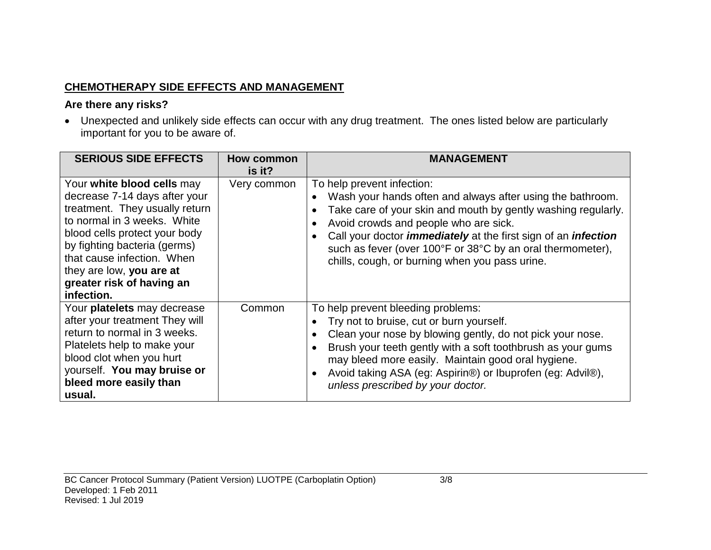# **CHEMOTHERAPY SIDE EFFECTS AND MANAGEMENT**

### **Are there any risks?**

• Unexpected and unlikely side effects can occur with any drug treatment. The ones listed below are particularly important for you to be aware of.

| <b>SERIOUS SIDE EFFECTS</b>                                                                                                                                                                                                                                                                        | <b>How common</b><br>is it? | <b>MANAGEMENT</b>                                                                                                                                                                                                                                                                                                                                                                                  |
|----------------------------------------------------------------------------------------------------------------------------------------------------------------------------------------------------------------------------------------------------------------------------------------------------|-----------------------------|----------------------------------------------------------------------------------------------------------------------------------------------------------------------------------------------------------------------------------------------------------------------------------------------------------------------------------------------------------------------------------------------------|
| Your white blood cells may<br>decrease 7-14 days after your<br>treatment. They usually return<br>to normal in 3 weeks. White<br>blood cells protect your body<br>by fighting bacteria (germs)<br>that cause infection. When<br>they are low, you are at<br>greater risk of having an<br>infection. | Very common                 | To help prevent infection:<br>Wash your hands often and always after using the bathroom.<br>Take care of your skin and mouth by gently washing regularly.<br>Avoid crowds and people who are sick.<br>Call your doctor <i>immediately</i> at the first sign of an <i>infection</i><br>such as fever (over 100°F or 38°C by an oral thermometer),<br>chills, cough, or burning when you pass urine. |
| Your platelets may decrease<br>after your treatment They will<br>return to normal in 3 weeks.<br>Platelets help to make your<br>blood clot when you hurt<br>yourself. You may bruise or<br>bleed more easily than<br>usual.                                                                        | Common                      | To help prevent bleeding problems:<br>Try not to bruise, cut or burn yourself.<br>Clean your nose by blowing gently, do not pick your nose.<br>Brush your teeth gently with a soft toothbrush as your gums<br>may bleed more easily. Maintain good oral hygiene.<br>Avoid taking ASA (eg: Aspirin®) or Ibuprofen (eg: Advil®),<br>unless prescribed by your doctor.                                |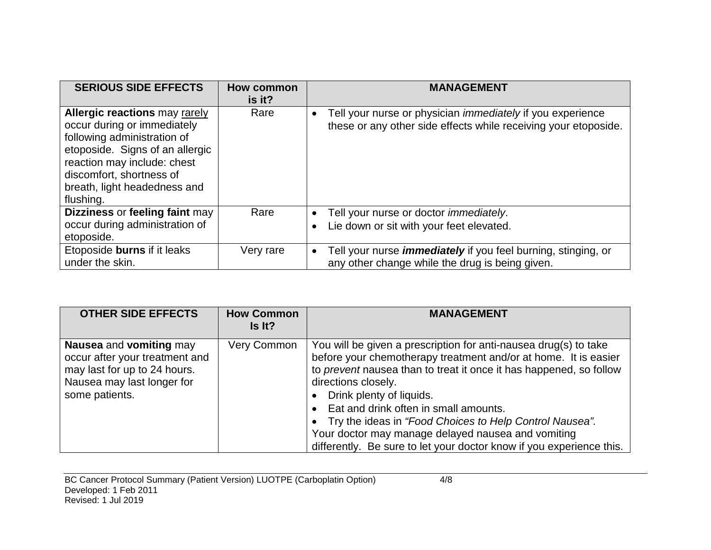| <b>SERIOUS SIDE EFFECTS</b>                                                                                                                                                                                                                   | How common<br>is it? | <b>MANAGEMENT</b>                                                                                                                                 |
|-----------------------------------------------------------------------------------------------------------------------------------------------------------------------------------------------------------------------------------------------|----------------------|---------------------------------------------------------------------------------------------------------------------------------------------------|
| <b>Allergic reactions may rarely</b><br>occur during or immediately<br>following administration of<br>etoposide. Signs of an allergic<br>reaction may include: chest<br>discomfort, shortness of<br>breath, light headedness and<br>flushing. | Rare                 | Tell your nurse or physician <i>immediately</i> if you experience<br>$\bullet$<br>these or any other side effects while receiving your etoposide. |
| Dizziness or feeling faint may<br>occur during administration of<br>etoposide.                                                                                                                                                                | Rare                 | Tell your nurse or doctor <i>immediately</i> .<br>$\bullet$<br>Lie down or sit with your feet elevated.<br>$\bullet$                              |
| Etoposide burns if it leaks<br>under the skin.                                                                                                                                                                                                | Very rare            | Tell your nurse <i>immediately</i> if you feel burning, stinging, or<br>$\bullet$<br>any other change while the drug is being given.              |

| <b>OTHER SIDE EFFECTS</b>                                                                                                                 | <b>How Common</b><br>Is It? | <b>MANAGEMENT</b>                                                                                                                                                                                                                                                                                                                                                                                                                                                                              |
|-------------------------------------------------------------------------------------------------------------------------------------------|-----------------------------|------------------------------------------------------------------------------------------------------------------------------------------------------------------------------------------------------------------------------------------------------------------------------------------------------------------------------------------------------------------------------------------------------------------------------------------------------------------------------------------------|
| Nausea and vomiting may<br>occur after your treatment and<br>may last for up to 24 hours.<br>Nausea may last longer for<br>some patients. | Very Common                 | You will be given a prescription for anti-nausea drug(s) to take<br>before your chemotherapy treatment and/or at home. It is easier<br>to prevent nausea than to treat it once it has happened, so follow<br>directions closely.<br>Drink plenty of liquids.<br>Eat and drink often in small amounts.<br>Try the ideas in "Food Choices to Help Control Nausea".<br>Your doctor may manage delayed nausea and vomiting<br>differently. Be sure to let your doctor know if you experience this. |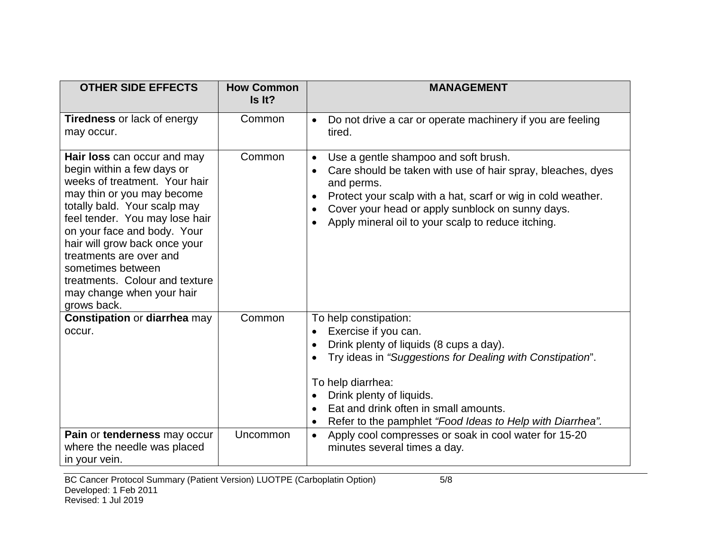| <b>OTHER SIDE EFFECTS</b>                                                                                                                                                                                                                                                                                                                                                                | <b>How Common</b><br>Is It? | <b>MANAGEMENT</b>                                                                                                                                                                                                                                                                                                     |
|------------------------------------------------------------------------------------------------------------------------------------------------------------------------------------------------------------------------------------------------------------------------------------------------------------------------------------------------------------------------------------------|-----------------------------|-----------------------------------------------------------------------------------------------------------------------------------------------------------------------------------------------------------------------------------------------------------------------------------------------------------------------|
| <b>Tiredness or lack of energy</b><br>may occur.                                                                                                                                                                                                                                                                                                                                         | Common                      | Do not drive a car or operate machinery if you are feeling<br>$\bullet$<br>tired.                                                                                                                                                                                                                                     |
| Hair loss can occur and may<br>begin within a few days or<br>weeks of treatment. Your hair<br>may thin or you may become<br>totally bald. Your scalp may<br>feel tender. You may lose hair<br>on your face and body. Your<br>hair will grow back once your<br>treatments are over and<br>sometimes between<br>treatments. Colour and texture<br>may change when your hair<br>grows back. | Common                      | Use a gentle shampoo and soft brush.<br>$\bullet$<br>Care should be taken with use of hair spray, bleaches, dyes<br>and perms.<br>Protect your scalp with a hat, scarf or wig in cold weather.<br>$\bullet$<br>Cover your head or apply sunblock on sunny days.<br>Apply mineral oil to your scalp to reduce itching. |
| <b>Constipation or diarrhea may</b><br>occur.                                                                                                                                                                                                                                                                                                                                            | Common                      | To help constipation:<br>Exercise if you can.<br>Drink plenty of liquids (8 cups a day).<br>Try ideas in "Suggestions for Dealing with Constipation".<br>To help diarrhea:<br>Drink plenty of liquids.<br>Eat and drink often in small amounts.<br>Refer to the pamphlet "Food Ideas to Help with Diarrhea".          |
| Pain or tenderness may occur<br>where the needle was placed<br>in your vein.                                                                                                                                                                                                                                                                                                             | Uncommon                    | Apply cool compresses or soak in cool water for 15-20<br>$\bullet$<br>minutes several times a day.                                                                                                                                                                                                                    |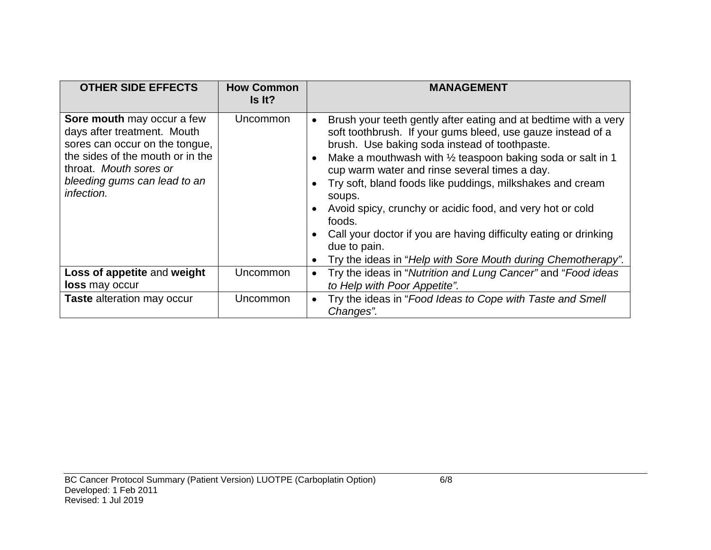| <b>OTHER SIDE EFFECTS</b>                                                                                                                                                                               | <b>How Common</b><br>Is It? | <b>MANAGEMENT</b>                                                                                                                                                                                                                                                                                                                                                                                                                                                                                                                                                                                                                     |
|---------------------------------------------------------------------------------------------------------------------------------------------------------------------------------------------------------|-----------------------------|---------------------------------------------------------------------------------------------------------------------------------------------------------------------------------------------------------------------------------------------------------------------------------------------------------------------------------------------------------------------------------------------------------------------------------------------------------------------------------------------------------------------------------------------------------------------------------------------------------------------------------------|
| Sore mouth may occur a few<br>days after treatment. Mouth<br>sores can occur on the tongue,<br>the sides of the mouth or in the<br>throat. Mouth sores or<br>bleeding gums can lead to an<br>infection. | Uncommon                    | Brush your teeth gently after eating and at bedtime with a very<br>soft toothbrush. If your gums bleed, use gauze instead of a<br>brush. Use baking soda instead of toothpaste.<br>Make a mouthwash with $\frac{1}{2}$ teaspoon baking soda or salt in 1<br>$\bullet$<br>cup warm water and rinse several times a day.<br>Try soft, bland foods like puddings, milkshakes and cream<br>soups.<br>Avoid spicy, crunchy or acidic food, and very hot or cold<br>$\bullet$<br>foods.<br>Call your doctor if you are having difficulty eating or drinking<br>due to pain.<br>Try the ideas in "Help with Sore Mouth during Chemotherapy". |
| Loss of appetite and weight<br><b>loss</b> may occur                                                                                                                                                    | <b>Uncommon</b>             | Try the ideas in "Nutrition and Lung Cancer" and "Food ideas<br>$\bullet$<br>to Help with Poor Appetite".                                                                                                                                                                                                                                                                                                                                                                                                                                                                                                                             |
| <b>Taste</b> alteration may occur                                                                                                                                                                       | Uncommon                    | Try the ideas in "Food Ideas to Cope with Taste and Smell<br>$\bullet$<br>Changes".                                                                                                                                                                                                                                                                                                                                                                                                                                                                                                                                                   |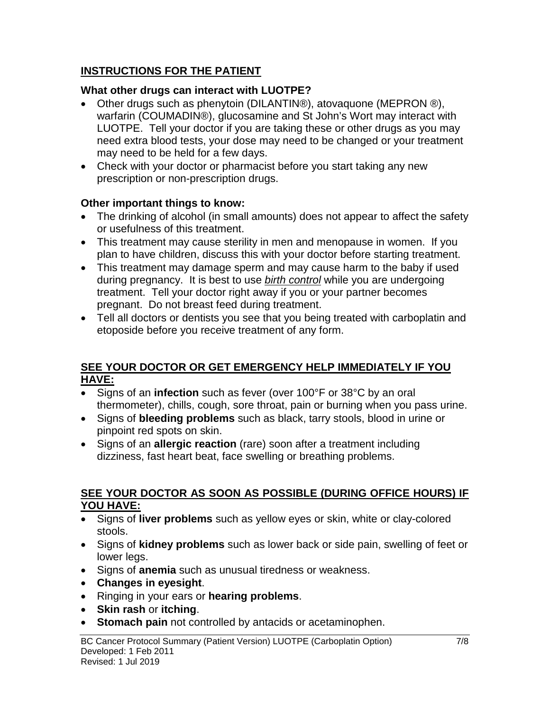# **INSTRUCTIONS FOR THE PATIENT**

# **What other drugs can interact with LUOTPE?**

- Other drugs such as phenytoin (DILANTIN®), atovaquone (MEPRON ®), warfarin (COUMADIN®), glucosamine and St John's Wort may interact with LUOTPE. Tell your doctor if you are taking these or other drugs as you may need extra blood tests, your dose may need to be changed or your treatment may need to be held for a few days.
- Check with your doctor or pharmacist before you start taking any new prescription or non-prescription drugs.

# **Other important things to know:**

- The drinking of alcohol (in small amounts) does not appear to affect the safety or usefulness of this treatment.
- This treatment may cause sterility in men and menopause in women. If you plan to have children, discuss this with your doctor before starting treatment.
- This treatment may damage sperm and may cause harm to the baby if used during pregnancy. It is best to use *birth control* while you are undergoing treatment. Tell your doctor right away if you or your partner becomes pregnant. Do not breast feed during treatment.
- Tell all doctors or dentists you see that you being treated with carboplatin and etoposide before you receive treatment of any form.

### **SEE YOUR DOCTOR OR GET EMERGENCY HELP IMMEDIATELY IF YOU HAVE:**

- Signs of an **infection** such as fever (over 100°F or 38°C by an oral thermometer), chills, cough, sore throat, pain or burning when you pass urine.
- Signs of **bleeding problems** such as black, tarry stools, blood in urine or pinpoint red spots on skin.
- Signs of an **allergic reaction** (rare) soon after a treatment including dizziness, fast heart beat, face swelling or breathing problems.

### **SEE YOUR DOCTOR AS SOON AS POSSIBLE (DURING OFFICE HOURS) IF YOU HAVE:**

- Signs of **liver problems** such as yellow eyes or skin, white or clay-colored stools.
- Signs of **kidney problems** such as lower back or side pain, swelling of feet or lower legs.
- Signs of **anemia** such as unusual tiredness or weakness.
- **Changes in eyesight**.
- Ringing in your ears or **hearing problems**.
- **Skin rash** or **itching**.
- **Stomach pain** not controlled by antacids or acetaminophen.